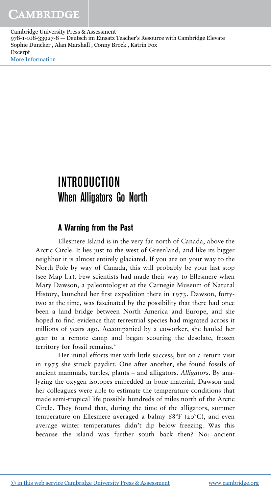# INTRODUCTION When Alligators Go North

## **A Warning from the Past**

Ellesmere Island is in the very far north of Canada, above the Arctic Circle. It lies just to the west of Greenland, and like its bigger neighbor it is almost entirely glaciated. If you are on your way to the North Pole by way of Canada, this will probably be your last stop (see Map I.1). Few scientists had made their way to Ellesmere when Mary Dawson, a paleontologist at the Carnegie Museum of Natural History, launched her first expedition there in 1973. Dawson, fortytwo at the time, was fascinated by the possibility that there had once been a land bridge between North America and Europe, and she hoped to find evidence that terrestrial species had migrated across it millions of years ago. Accompanied by a coworker, she hauled her gear to a remote camp and began scouring the desolate, frozen territory for fossil remains.<sup>1</sup>

Her initial efforts met with little success, but on a return visit in 1975 she struck paydirt. One after another, she found fossils of ancient mammals, turtles, plants – and alligators. *Alligators*. By analyzing the oxygen isotopes embedded in bone material, Dawson and her colleagues were able to estimate the temperature conditions that made semi-tropical life possible hundreds of miles north of the Arctic Circle. They found that, during the time of the alligators, summer temperature on Ellesmere averaged a balmy  $68^{\circ}F$  (20 $^{\circ}C$ ), and even average winter temperatures didn't dip below freezing. Was this because the island was further south back then? No: ancient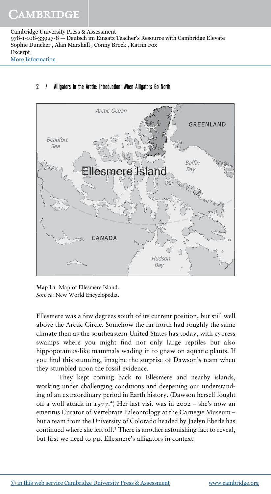#### 2 / Alligators in the Arctic: Introduction: When Alligators Go North



**Map I.1** Map of Ellesmere Island. *Source*: New World Encyclopedia.

Ellesmere was a few degrees south of its current position, but still well above the Arctic Circle. Somehow the far north had roughly the same climate then as the southeastern United States has today, with cypress swamps where you might find not only large reptiles but also hippopotamus-like mammals wading in to gnaw on aquatic plants. If you find this stunning, imagine the surprise of Dawson's team when they stumbled upon the fossil evidence.

They kept coming back to Ellesmere and nearby islands, working under challenging conditions and deepening our understanding of an extraordinary period in Earth history. (Dawson herself fought off a wolf attack in 1977. 2 ) Her last visit was in 2002 – she's now an emeritus Curator of Vertebrate Paleontology at the Carnegie Museum – but a team from the University of Colorado headed by Jaelyn Eberle has continued where she left off.<sup>3</sup> There is another astonishing fact to reveal, but first we need to put Ellesmere's alligators in context.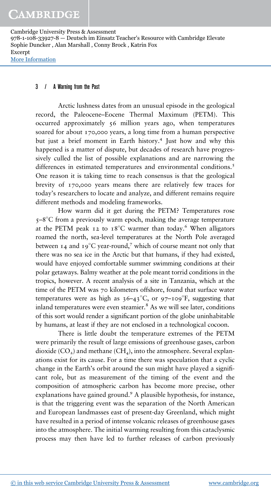#### 3 / A Warning from the Past

Arctic lushness dates from an unusual episode in the geological record, the Paleocene–Eocene Thermal Maximum (PETM). This occurred approximately 56 million years ago, when temperatures soared for about 170,000 years, a long time from a human perspective but just a brief moment in Earth history.<sup>4</sup> Just how and why this happened is a matter of dispute, but decades of research have progressively culled the list of possible explanations and are narrowing the differences in estimated temperatures and environmental conditions.<sup>5</sup> One reason it is taking time to reach consensus is that the geological brevity of 170,000 years means there are relatively few traces for today's researchers to locate and analyze, and different remains require different methods and modeling frameworks.

How warm did it get during the PETM? Temperatures rose 5–8 C from a previously warm epoch, making the average temperature at the PETM peak 12 to  $18^{\circ}$ C warmer than today.<sup>6</sup> When alligators roamed the north, sea-level temperatures at the North Pole averaged between 14 and 19 $\mathrm{C}$  year-round,<sup>7</sup> which of course meant not only that there was no sea ice in the Arctic but that humans, if they had existed, would have enjoyed comfortable summer swimming conditions at their polar getaways. Balmy weather at the pole meant torrid conditions in the tropics, however. A recent analysis of a site in Tanzania, which at the time of the PETM was 70 kilometers offshore, found that surface water temperatures were as high as  $36-43^{\circ}$ C, or  $97-109^{\circ}$ F, suggesting that inland temperatures were even steamier.<sup>8</sup> As we will see later, conditions of this sort would render a significant portion of the globe uninhabitable by humans, at least if they are not enclosed in a technological cocoon.

There is little doubt the temperature extremes of the PETM were primarily the result of large emissions of greenhouse gases, carbon dioxide  $(CO<sub>2</sub>)$  and methane  $(CH<sub>4</sub>)$ , into the atmosphere. Several explanations exist for its cause. For a time there was speculation that a cyclic change in the Earth's orbit around the sun might have played a significant role, but as measurement of the timing of the event and the composition of atmospheric carbon has become more precise, other explanations have gained ground.<sup>9</sup> A plausible hypothesis, for instance, is that the triggering event was the separation of the North American and European landmasses east of present-day Greenland, which might have resulted in a period of intense volcanic releases of greenhouse gases into the atmosphere. The initial warming resulting from this cataclysmic process may then have led to further releases of carbon previously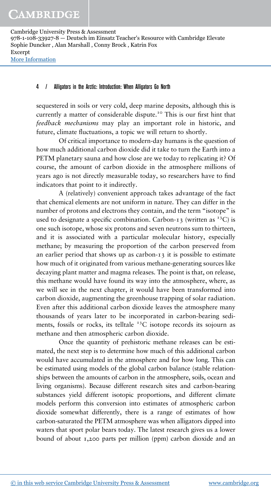#### 4 / Alligators in the Arctic: Introduction: When Alligators Go North

sequestered in soils or very cold, deep marine deposits, although this is currently a matter of considerable dispute.<sup>10</sup> This is our first hint that *feedback mechanisms* may play an important role in historic, and future, climate fluctuations, a topic we will return to shortly.

Of critical importance to modern-day humans is the question of how much additional carbon dioxide did it take to turn the Earth into a PETM planetary sauna and how close are we today to replicating it? Of course, the amount of carbon dioxide in the atmosphere millions of years ago is not directly measurable today, so researchers have to find indicators that point to it indirectly.

A (relatively) convenient approach takes advantage of the fact that chemical elements are not uniform in nature. They can differ in the number of protons and electrons they contain, and the term "isotope" is used to designate a specific combination. Carbon-13 (written as  $^{13}$ C) is one such isotope, whose six protons and seven neutrons sum to thirteen, and it is associated with a particular molecular history, especially methane; by measuring the proportion of the carbon preserved from an earlier period that shows up as carbon‑13 it is possible to estimate how much of it originated from various methane‑generating sources like decaying plant matter and magma releases. The point is that, on release, this methane would have found its way into the atmosphere, where, as we will see in the next chapter, it would have been transformed into carbon dioxide, augmenting the greenhouse trapping of solar radiation. Even after this additional carbon dioxide leaves the atmosphere many thousands of years later to be incorporated in carbon‑bearing sediments, fossils or rocks, its telltale  $13C$  isotope records its sojourn as methane and then atmospheric carbon dioxide.

Once the quantity of prehistoric methane releases can be estimated, the next step is to determine how much of this additional carbon would have accumulated in the atmosphere and for how long. This can be estimated using models of the global carbon balance (stable relationships between the amounts of carbon in the atmosphere, soils, ocean and living organisms). Because different research sites and carbon-bearing substances yield different isotopic proportions, and different climate models perform this conversion into estimates of atmospheric carbon dioxide somewhat differently, there is a range of estimates of how carbon-saturated the PETM atmosphere was when alligators dipped into waters that sport polar bears today. The latest research gives us a lower bound of about 1,200 parts per million (ppm) carbon dioxide and an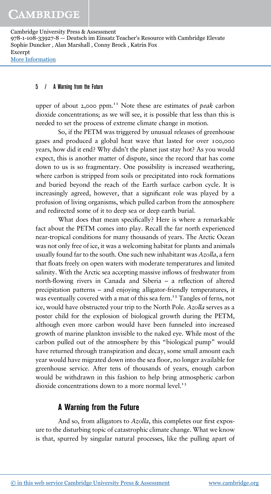#### 5 / A Warning from the Future

upper of about 2,000 ppm.<sup>11</sup> Note these are estimates of *peak* carbon dioxide concentrations; as we will see, it is possible that less than this is needed to set the process of extreme climate change in motion.

So, if the PETM was triggered by unusual releases of greenhouse gases and produced a global heat wave that lasted for over 100,000 years, how did it end? Why didn't the planet just stay hot? As you would expect, this is another matter of dispute, since the record that has come down to us is so fragmentary. One possibility is increased weathering, where carbon is stripped from soils or precipitated into rock formations and buried beyond the reach of the Earth surface carbon cycle. It is increasingly agreed, however, that a significant role was played by a profusion of living organisms, which pulled carbon from the atmosphere and redirected some of it to deep sea or deep earth burial.

What does that mean specifically? Here is where a remarkable fact about the PETM comes into play. Recall the far north experienced near-tropical conditions for many thousands of years. The Arctic Ocean was not only free of ice, it was a welcoming habitat for plants and animals usually found far to the south. One such new inhabitant was *Azolla*, a fern that floats freely on open waters with moderate temperatures and limited salinity. With the Arctic sea accepting massive inflows of freshwater from north-flowing rivers in Canada and Siberia – a reflection of altered precipitation patterns – and enjoying alligator-friendly temperatures, it was eventually covered with a mat of this sea fern.<sup>12</sup> Tangles of ferns, not ice, would have obstructed your trip to the North Pole. *Azolla* serves as a poster child for the explosion of biological growth during the PETM, although even more carbon would have been funneled into increased growth of marine plankton invisible to the naked eye. While most of the carbon pulled out of the atmosphere by this "biological pump" would have returned through transpiration and decay, some small amount each year would have migrated down into the sea floor, no longer available for greenhouse service. After tens of thousands of years, enough carbon would be withdrawn in this fashion to help bring atmospheric carbon dioxide concentrations down to a more normal level. $13$ 

## **A Warning from the Future**

And so, from alligators to *Azolla*, this completes our first exposure to the disturbing topic of catastrophic climate change. What we know is that, spurred by singular natural processes, like the pulling apart of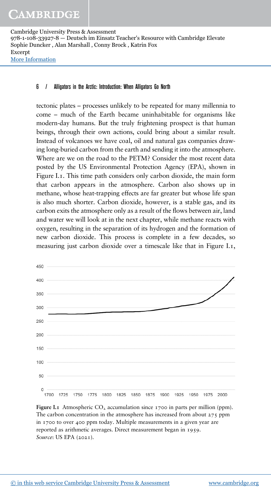#### 6 / Alligators in the Arctic: Introduction: When Alligators Go North

tectonic plates – processes unlikely to be repeated for many millennia to come – much of the Earth became uninhabitable for organisms like modern-day humans. But the truly frightening prospect is that human beings, through their own actions, could bring about a similar result. Instead of volcanoes we have coal, oil and natural gas companies drawing long-buried carbon from the earth and sending it into the atmosphere. Where are we on the road to the PETM? Consider the most recent data posted by the US Environmental Protection Agency (EPA), shown in Figure I.1. This time path considers only carbon dioxide, the main form that carbon appears in the atmosphere. Carbon also shows up in methane, whose heat-trapping effects are far greater but whose life span is also much shorter. Carbon dioxide, however, is a stable gas, and its carbon exits the atmosphere only as a result of the flows between air, land and water we will look at in the next chapter, while methane reacts with oxygen, resulting in the separation of its hydrogen and the formation of new carbon dioxide. This process is complete in a few decades, so measuring just carbon dioxide over a timescale like that in Figure I.1,



**Figure I.1** Atmospheric  $CO_2$  accumulation since 1700 in parts per million (ppm). The carbon concentration in the atmosphere has increased from about 275 ppm in 1700 to over 400 ppm today. Multiple measurements in a given year are reported as arithmetic averages. Direct measurement began in 1959. *Source*: US EPA (2021).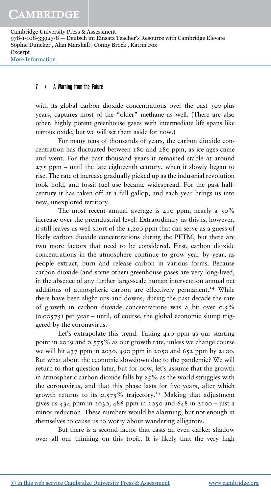#### 7 / A Warning from the Future

with its global carbon dioxide concentrations over the past 300-plus years, captures most of the "older" methane as well. (There are also other, highly potent greenhouse gases with intermediate life spans like nitrous oxide, but we will set them aside for now.)

For many tens of thousands of years, the carbon dioxide concentration has fluctuated between 180 and 280 ppm, as ice ages came and went. For the past thousand years it remained stable at around 275 ppm – until the late eighteenth century, when it slowly began to rise. The rate of increase gradually picked up as the industrial revolution took hold, and fossil fuel use became widespread. For the past halfcentury it has taken off at a full gallop, and each year brings us into new, unexplored territory.

The most recent annual average is 410 ppm, nearly a  $50\%$ increase over the preindustrial level. Extraordinary as this is, however, it still leaves us well short of the 1,200 ppm that can serve as a guess of likely carbon dioxide concentrations during the PETM, but there are two more factors that need to be considered. First, carbon dioxide concentrations in the atmosphere continue to grow year by year, as people extract, burn and release carbon in various forms. Because carbon dioxide (and some other) greenhouse gases are very long-lived, in the absence of any further large-scale human intervention annual net additions of atmospheric carbon are effectively permanent.<sup>14</sup> While there have been slight ups and downs, during the past decade the rate of growth in carbon dioxide concentrations was a bit over 0.5%  $(0.00575)$  per year – until, of course, the global economic slump triggered by the coronavirus.

Let's extrapolate this trend. Taking 410 ppm as our starting point in 2019 and 0.575% as our growth rate, unless we change course we will hit 437 ppm in 2030, 490 ppm in 2050 and 652 ppm by 2100. But what about the economic slowdown due to the pandemic? We will return to that question later, but for now, let's assume that the growth in atmospheric carbon dioxide falls by  $25\%$  as the world struggles with the coronavirus, and that this phase lasts for five years, after which growth returns to its  $0.575\%$  trajectory.<sup>15</sup> Making that adjustment gives us 434 ppm in 2030, 486 ppm in 2050 and 648 in 2100 – just a minor reduction. These numbers would be alarming, but not enough in themselves to cause us to worry about wandering alligators.

But there is a second factor that casts an even darker shadow over all our thinking on this topic. It is likely that the very high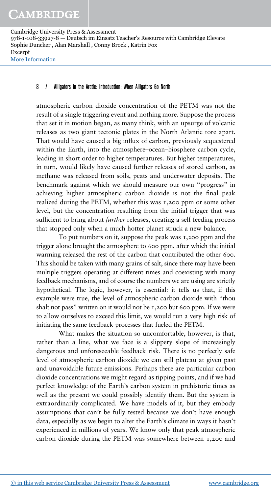#### 8 / Alligators in the Arctic: Introduction: When Alligators Go North

atmospheric carbon dioxide concentration of the PETM was not the result of a single triggering event and nothing more. Suppose the process that set it in motion began, as many think, with an upsurge of volcanic releases as two giant tectonic plates in the North Atlantic tore apart. That would have caused a big influx of carbon, previously sequestered within the Earth, into the atmosphere–ocean–biosphere carbon cycle, leading in short order to higher temperatures. But higher temperatures, in turn, would likely have caused further releases of stored carbon, as methane was released from soils, peats and underwater deposits. The benchmark against which we should measure our own "progress" in achieving higher atmospheric carbon dioxide is not the final peak realized during the PETM, whether this was 1,200 ppm or some other level, but the concentration resulting from the initial trigger that was sufficient to bring about *further* releases, creating a self-feeding process that stopped only when a much hotter planet struck a new balance.

To put numbers on it, suppose the peak was 1,200 ppm and the trigger alone brought the atmosphere to 600 ppm, after which the initial warming released the rest of the carbon that contributed the other 600. This should be taken with many grains of salt, since there may have been multiple triggers operating at different times and coexisting with many feedback mechanisms, and of course the numbers we are using are strictly hypothetical. The logic, however, is essential: it tells us that, if this example were true, the level of atmospheric carbon dioxide with "thou shalt not pass" written on it would not be 1,200 but 600 ppm. If we were to allow ourselves to exceed this limit, we would run a very high risk of initiating the same feedback processes that fueled the PETM.

What makes the situation so uncomfortable, however, is that, rather than a line, what we face is a slippery slope of increasingly dangerous and unforeseeable feedback risk. There is no perfectly safe level of atmospheric carbon dioxide we can still plateau at given past and unavoidable future emissions. Perhaps there are particular carbon dioxide concentrations we might regard as tipping points, and if we had perfect knowledge of the Earth's carbon system in prehistoric times as well as the present we could possibly identify them. But the system is extraordinarily complicated. We have models of it, but they embody assumptions that can't be fully tested because we don't have enough data, especially as we begin to alter the Earth's climate in ways it hasn't experienced in millions of years. We know only that peak atmospheric carbon dioxide during the PETM was somewhere between 1,200 and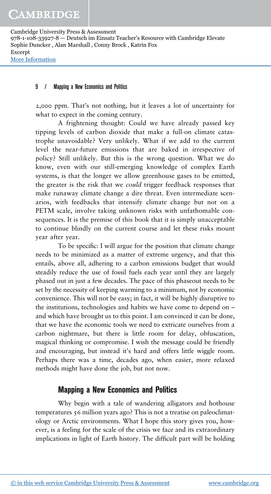#### 9 / Mapping a New Economics and Politics

2,000 ppm. That's not nothing, but it leaves a lot of uncertainty for what to expect in the coming century.

A frightening thought: Could we have already passed key tipping levels of carbon dioxide that make a full-on climate catastrophe unavoidable? Very unlikely. What if we add to the current level the near-future emissions that are baked in irrespective of policy? Still unlikely. But this is the wrong question. What we do know, even with our still-emerging knowledge of complex Earth systems, is that the longer we allow greenhouse gases to be emitted, the greater is the risk that we *could* trigger feedback responses that make runaway climate change a dire threat. Even intermediate scenarios, with feedbacks that intensify climate change but not on a PETM scale, involve taking unknown risks with unfathomable consequences. It is the premise of this book that it is simply unacceptable to continue blindly on the current course and let these risks mount year after year.

To be specific: I will argue for the position that climate change needs to be minimized as a matter of extreme urgency, and that this entails, above all, adhering to a carbon emissions budget that would steadily reduce the use of fossil fuels each year until they are largely phased out in just a few decades. The pace of this phaseout needs to be set by the necessity of keeping warming to a minimum, not by economic convenience. This will not be easy; in fact, it will be highly disruptive to the institutions, technologies and habits we have come to depend on – and which have brought us to this point. I am convinced it can be done, that we have the economic tools we need to extricate ourselves from a carbon nightmare, but there is little room for delay, obfuscation, magical thinking or compromise. I wish the message could be friendly and encouraging, but instead it's hard and offers little wiggle room. Perhaps there was a time, decades ago, when easier, more relaxed methods might have done the job, but not now.

## **Mapping a New Economics and Politics**

Why begin with a tale of wandering alligators and hothouse temperatures 56 million years ago? This is not a treatise on paleoclimatology or Arctic environments. What I hope this story gives you, however, is a feeling for the scale of the crisis we face and its extraordinary implications in light of Earth history. The difficult part will be holding